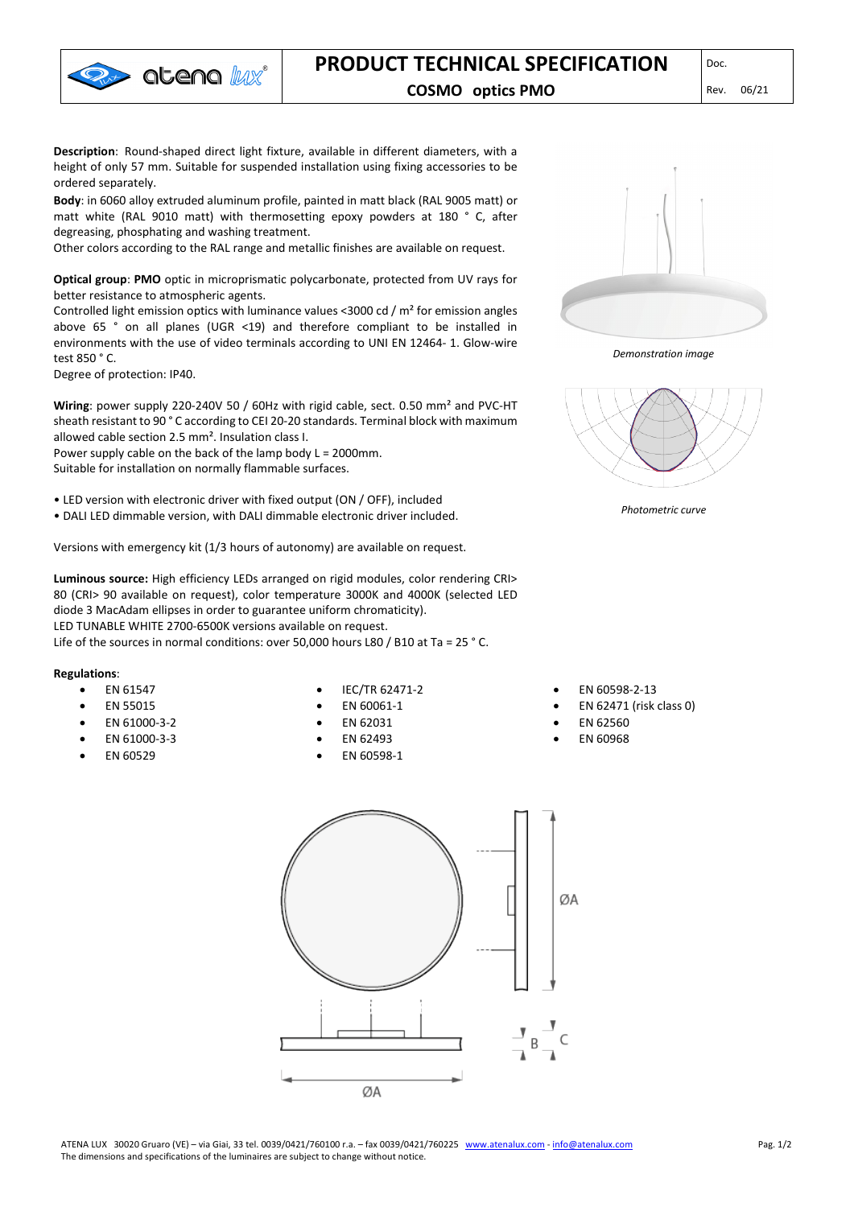

**Description**: Round-shaped direct light fixture, available in different diameters, with a height of only 57 mm. Suitable for suspended installation using fixing accessories to be ordered separately.

**Body**: in 6060 alloy extruded aluminum profile, painted in matt black (RAL 9005 matt) or matt white (RAL 9010 matt) with thermosetting epoxy powders at 180 ° C, after degreasing, phosphating and washing treatment.

Other colors according to the RAL range and metallic finishes are available on request.

**Optical group**: **PMO** optic in microprismatic polycarbonate, protected from UV rays for better resistance to atmospheric agents.

Controlled light emission optics with luminance values <3000 cd / m² for emission angles above 65 ° on all planes (UGR <19) and therefore compliant to be installed in environments with the use of video terminals according to UNI EN 12464- 1. Glow-wire test 850 ° C.

Degree of protection: IP40.

**Wiring**: power supply 220-240V 50 / 60Hz with rigid cable, sect. 0.50 mm² and PVC-HT sheath resistant to 90 ° C according to CEI 20-20 standards. Terminal block with maximum allowed cable section 2.5 mm². Insulation class I.

Power supply cable on the back of the lamp body L = 2000mm. Suitable for installation on normally flammable surfaces.

- LED version with electronic driver with fixed output (ON / OFF), included
- DALI LED dimmable version, with DALI dimmable electronic driver included.

Versions with emergency kit (1/3 hours of autonomy) are available on request.

**Luminous source:** High efficiency LEDs arranged on rigid modules, color rendering CRI> 80 (CRI> 90 available on request), color temperature 3000K and 4000K (selected LED diode 3 MacAdam ellipses in order to guarantee uniform chromaticity). LED TUNABLE WHITE 2700-6500K versions available on request. Life of the sources in normal conditions: over 50,000 hours L80 / B10 at Ta = 25 ° C.

## **Regulations**:

- EN 61547
- EN 55015
- EN 61000-3-2
- EN 61000-3-3
- EN 60529
- IEC/TR 62471-2
- EN 60061-1
- EN 62031
- EN 62493
- EN 60598-1



*Demonstration image*



*Photometric curve*

- EN 60598-2-13
- EN 62471 (risk class 0)
- EN 62560
- EN 60968